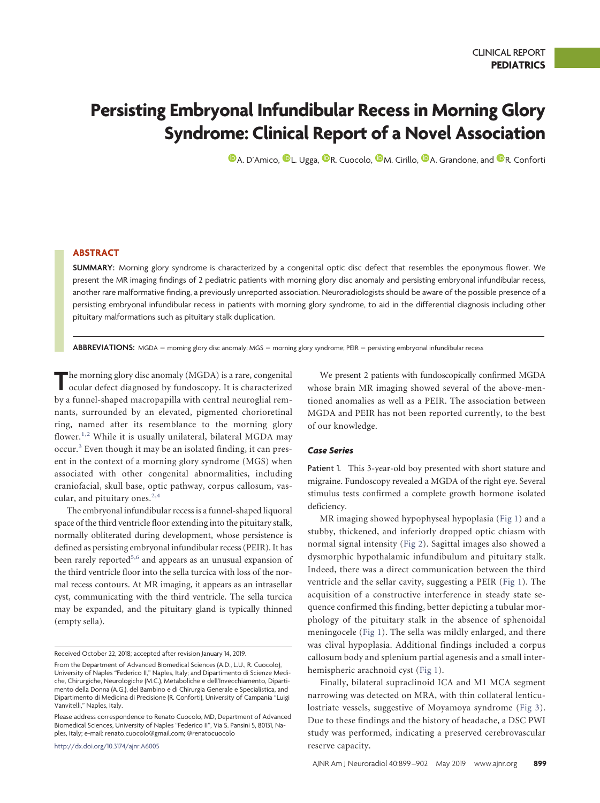# **Persisting Embryonal Infundibular Recess in Morning Glory Syndrome: Clinical Report of a Novel Association**

 $\mathbf{\mathbb{D}}$ [A. D'Amico,](https://orcid.org/0000-0003-2522-1056)  $\mathbf{\mathbb{D}}$ [L. Ugga,](https://orcid.org/0000-0001-7811-4612)  $\mathbf{\mathbb{D}}$ [R. Cuocolo,](https://orcid.org/0000-0002-1452-1574)  $\mathbf{\mathbb{D}}$ [M. Cirillo,](https://orcid.org/0000-0001-5350-7700)  $\mathbf{\mathbb{D}}$ [A. Grandone,](https://orcid.org/0000-0002-6343-4768) and  $\mathbf{\mathbb{D}}$ [R. Conforti](https://orcid.org/0000-0001-6485-816X)

# **ABSTRACT**

**SUMMARY:** Morning glory syndrome is characterized by a congenital optic disc defect that resembles the eponymous flower. We present the MR imaging findings of 2 pediatric patients with morning glory disc anomaly and persisting embryonal infundibular recess, another rare malformative finding, a previously unreported association. Neuroradiologists should be aware of the possible presence of a persisting embryonal infundibular recess in patients with morning glory syndrome, to aid in the differential diagnosis including other pituitary malformations such as pituitary stalk duplication.

ABBREVIATIONS: MGDA = morning glory disc anomaly; MGS = morning glory syndrome; PEIR = persisting embryonal infundibular recess

**T**he morning glory disc anomaly (MGDA) is a rare, congenital ocular defect diagnosed by fundoscopy. It is characterized by a funnel-shaped macropapilla with central neuroglial remnants, surrounded by an elevated, pigmented chorioretinal ring, named after its resemblance to the morning glory flower.<sup>[1,](#page-2-0)[2](#page-2-1)</sup> While it is usually unilateral, bilateral MGDA may occur.[3](#page-2-2) Even though it may be an isolated finding, it can present in the context of a morning glory syndrome (MGS) when associated with other congenital abnormalities, including craniofacial, skull base, optic pathway, corpus callosum, vascular, and pituitary ones. $2,4$  $2,4$ 

The embryonal infundibular recess is a funnel-shaped liquoral space of the third ventricle floor extending into the pituitary stalk, normally obliterated during development, whose persistence is defined as persisting embryonal infundibular recess (PEIR). It has been rarely reported<sup>5,[6](#page-2-5)</sup> and appears as an unusual expansion of the third ventricle floor into the sella turcica with loss of the normal recess contours. At MR imaging, it appears as an intrasellar cyst, communicating with the third ventricle. The sella turcica may be expanded, and the pituitary gland is typically thinned (empty sella).

http://dx.doi.org/10.3174/ajnr.A6005

We present 2 patients with fundoscopically confirmed MGDA whose brain MR imaging showed several of the above-mentioned anomalies as well as a PEIR. The association between MGDA and PEIR has not been reported currently, to the best of our knowledge.

## *Case Series*

Patient 1. This 3-year-old boy presented with short stature and migraine. Fundoscopy revealed a MGDA of the right eye. Several stimulus tests confirmed a complete growth hormone isolated deficiency.

MR imaging showed hypophyseal hypoplasia [\(Fig 1\)](#page-1-0) and a stubby, thickened, and inferiorly dropped optic chiasm with normal signal intensity [\(Fig 2\)](#page-1-1). Sagittal images also showed a dysmorphic hypothalamic infundibulum and pituitary stalk. Indeed, there was a direct communication between the third ventricle and the sellar cavity, suggesting a PEIR [\(Fig 1\)](#page-1-0). The acquisition of a constructive interference in steady state sequence confirmed this finding, better depicting a tubular morphology of the pituitary stalk in the absence of sphenoidal meningocele [\(Fig 1\)](#page-1-0). The sella was mildly enlarged, and there was clival hypoplasia. Additional findings included a corpus callosum body and splenium partial agenesis and a small interhemispheric arachnoid cyst [\(Fig 1\)](#page-1-0).

Finally, bilateral supraclinoid ICA and M1 MCA segment narrowing was detected on MRA, with thin collateral lenticulostriate vessels, suggestive of Moyamoya syndrome [\(Fig 3\)](#page-2-6). Due to these findings and the history of headache, a DSC PWI study was performed, indicating a preserved cerebrovascular reserve capacity.

Received October 22, 2018; accepted after revision January 14, 2019.

From the Department of Advanced Biomedical Sciences (A.D., L.U., R. Cuocolo), University of Naples "Federico II," Naples, Italy; and Dipartimento di Scienze Mediche, Chirurgiche, Neurologiche (M.C.), Metaboliche e dell'Invecchiamento, Dipartimento della Donna (A.G.), del Bambino e di Chirurgia Generale e Specialistica, and Dipartimento di Medicina di Precisione (R. Conforti), University of Campania "Luigi Vanvitelli," Naples, Italy.

Please address correspondence to Renato Cuocolo, MD, Department of Advanced Biomedical Sciences, University of Naples "Federico II", Via S. Pansini 5, 80131, Naples, Italy; e-mail: renato.cuocolo@gmail.com; [@renatocuocolo](https://twitter.com/renatocuocolo)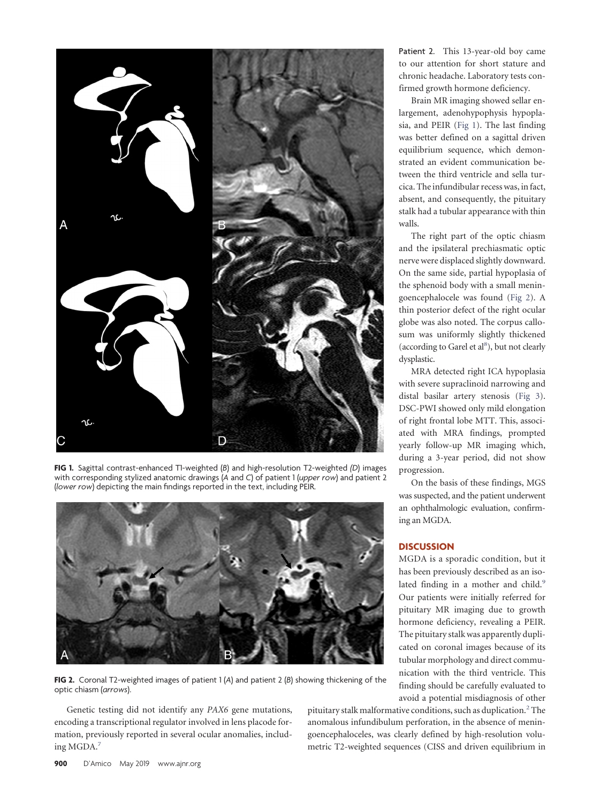<span id="page-1-0"></span>

**FIG 1.** Sagittal contrast-enhanced T1-weighted (B) and high-resolution T2-weighted (D) images with corresponding stylized anatomic drawings (*A* and *C*) of patient 1 (*upper row*) and patient 2 (*lower row*) depicting the main findings reported in the text, including PEIR.

<span id="page-1-1"></span>

**FIG 2.** Coronal T2-weighted images of patient 1 (*A*) and patient 2 (*B*) showing thickening of the optic chiasm (*arrows*).

Genetic testing did not identify any *PAX6* gene mutations, encoding a transcriptional regulator involved in lens placode formation, previously reported in several ocular anomalies, including MGDA[.7](#page-2-7)

Patient 2. This 13-year-old boy came to our attention for short stature and chronic headache. Laboratory tests confirmed growth hormone deficiency.

Brain MR imaging showed sellar enlargement, adenohypophysis hypoplasia, and PEIR [\(Fig 1\)](#page-1-0). The last finding was better defined on a sagittal driven equilibrium sequence, which demonstrated an evident communication between the third ventricle and sella turcica. The infundibular recess was, in fact, absent, and consequently, the pituitary stalk had a tubular appearance with thin walls.

The right part of the optic chiasm and the ipsilateral prechiasmatic optic nerve were displaced slightly downward. On the same side, partial hypoplasia of the sphenoid body with a small meningoencephalocele was found [\(Fig 2\)](#page-1-1). A thin posterior defect of the right ocular globe was also noted. The corpus callosum was uniformly slightly thickened (according to Garel et al<sup>8</sup>), but not clearly dysplastic.

MRA detected right ICA hypoplasia with severe supraclinoid narrowing and distal basilar artery stenosis [\(Fig 3\)](#page-2-6). DSC-PWI showed only mild elongation of right frontal lobe MTT. This, associated with MRA findings, prompted yearly follow-up MR imaging which, during a 3-year period, did not show progression.

On the basis of these findings, MGS was suspected, and the patient underwent an ophthalmologic evaluation, confirming an MGDA.

# **DISCUSSION**

MGDA is a sporadic condition, but it has been previously described as an isolated finding in a mother and child.<sup>9</sup> Our patients were initially referred for pituitary MR imaging due to growth hormone deficiency, revealing a PEIR. The pituitary stalk was apparently duplicated on coronal images because of its tubular morphology and direct communication with the third ventricle. This finding should be carefully evaluated to avoid a potential misdiagnosis of other

pituitary stalk malformative conditions, such as duplication.<sup>2</sup> The anomalous infundibulum perforation, in the absence of meningoencephaloceles, was clearly defined by high-resolution volumetric T2-weighted sequences (CISS and driven equilibrium in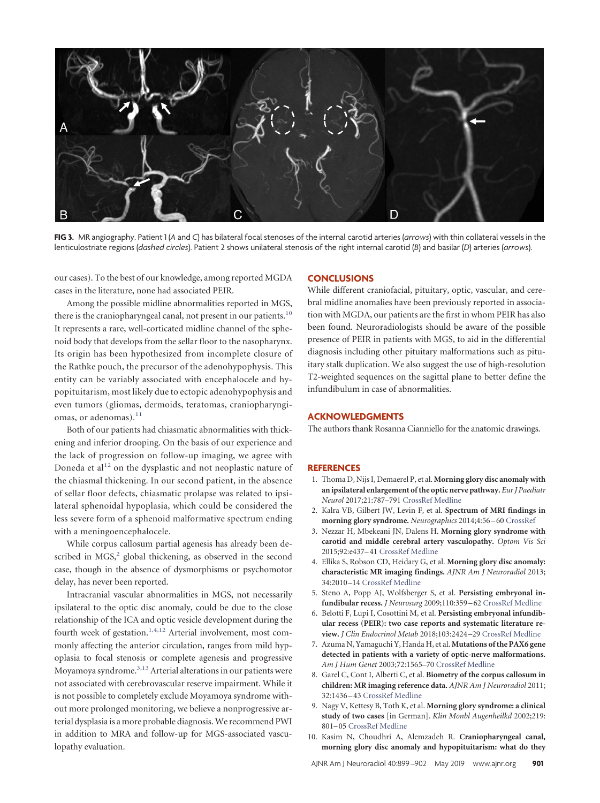<span id="page-2-6"></span>

**FIG 3.** MR angiography. Patient 1 (*A* and *C*) has bilateral focal stenoses of the internal carotid arteries (*arrows*) with thin collateral vessels in the lenticulostriate regions (*dashed circles*). Patient 2 shows unilateral stenosis of the right internal carotid (*B*) and basilar (*D*) arteries (*arrows*).

our cases). To the best of our knowledge, among reported MGDA cases in the literature, none had associated PEIR.

Among the possible midline abnormalities reported in MGS, there is the craniopharyngeal canal, not present in our patients. $10$ It represents a rare, well-corticated midline channel of the sphenoid body that develops from the sellar floor to the nasopharynx. Its origin has been hypothesized from incomplete closure of the Rathke pouch, the precursor of the adenohypophysis. This entity can be variably associated with encephalocele and hypopituitarism, most likely due to ectopic adenohypophysis and even tumors (gliomas, dermoids, teratomas, craniopharyngi-omas, or adenomas).<sup>[11](#page-3-0)</sup>

Both of our patients had chiasmatic abnormalities with thickening and inferior drooping. On the basis of our experience and the lack of progression on follow-up imaging, we agree with Doneda et al<sup>[12](#page-3-1)</sup> on the dysplastic and not neoplastic nature of the chiasmal thickening. In our second patient, in the absence of sellar floor defects, chiasmatic prolapse was related to ipsilateral sphenoidal hypoplasia, which could be considered the less severe form of a sphenoid malformative spectrum ending with a meningoencephalocele.

While corpus callosum partial agenesis has already been described in  $MGS<sub>2</sub><sup>2</sup>$  global thickening, as observed in the second case, though in the absence of dysmorphisms or psychomotor delay, has never been reported.

Intracranial vascular abnormalities in MGS, not necessarily ipsilateral to the optic disc anomaly, could be due to the close relationship of the ICA and optic vesicle development during the fourth week of gestation.<sup>1,[4,](#page-2-3)[12](#page-3-1)</sup> Arterial involvement, most commonly affecting the anterior circulation, ranges from mild hypoplasia to focal stenosis or complete agenesis and progressive Moyamoya syndrome[.3,](#page-2-2)[13](#page-3-2)Arterial alterations in our patients were not associated with cerebrovascular reserve impairment. While it is not possible to completely exclude Moyamoya syndrome without more prolonged monitoring, we believe a nonprogressive arterial dysplasia is a more probable diagnosis.We recommend PWI in addition to MRA and follow-up for MGS-associated vasculopathy evaluation.

#### **CONCLUSIONS**

While different craniofacial, pituitary, optic, vascular, and cerebral midline anomalies have been previously reported in association with MGDA, our patients are the first in whom PEIR has also been found. Neuroradiologists should be aware of the possible presence of PEIR in patients with MGS, to aid in the differential diagnosis including other pituitary malformations such as pituitary stalk duplication. We also suggest the use of high-resolution T2-weighted sequences on the sagittal plane to better define the infundibulum in case of abnormalities.

## **ACKNOWLEDGMENTS**

The authors thank Rosanna Cianniello for the anatomic drawings.

#### <span id="page-2-0"></span>**REFERENCES**

- 1. Thoma D, Nijs I, Demaerel P, et al. **Morning glory disc anomaly with an ipsilateral enlargement of the optic nerve pathway.** *Eur J Paediatr Neurol* 2017;21:787–791 [CrossRef](http://dx.doi.org/10.1016/j.ejpn.2017.04.1334) [Medline](http://www.ncbi.nlm.nih.gov/pubmed/28666648)
- <span id="page-2-1"></span>2. Kalra VB, Gilbert JW, Levin F, et al. **Spectrum of MRI findings in morning glory syndrome.** *Neurographics* 2014;4:56 –60 [CrossRef](http://dx.doi.org/10.3174/ng.1140075)
- <span id="page-2-2"></span>3. Nezzar H, Mbekeani JN, Dalens H. **Morning glory syndrome with carotid and middle cerebral artery vasculopathy.** *Optom Vis Sci* 2015;92:e437–41 [CrossRef](http://dx.doi.org/10.1097/OPX.0000000000000727) [Medline](http://www.ncbi.nlm.nih.gov/pubmed/26540473)
- <span id="page-2-3"></span>4. Ellika S, Robson CD, Heidary G, et al. **Morning glory disc anomaly: characteristic MR imaging findings.** *AJNR Am J Neuroradiol* 2013; 34:2010 –14 [CrossRef](http://dx.doi.org/10.3174/ajnr.A3542) [Medline](http://www.ncbi.nlm.nih.gov/pubmed/23660287)
- <span id="page-2-4"></span>5. Steno A, Popp AJ, Wolfsberger S, et al. **Persisting embryonal infundibular recess.** *J Neurosurg* 2009;110:359 –62 [CrossRef](http://dx.doi.org/10.3171/2008.7.JNS08287) [Medline](http://www.ncbi.nlm.nih.gov/pubmed/18950267)
- <span id="page-2-5"></span>6. Belotti F, Lupi I, Cosottini M, et al. **Persisting embryonal infundibular recess (PEIR): two case reports and systematic literature review.** *J Clin Endocrinol Metab* 2018;103:2424 –29 [CrossRef](http://dx.doi.org/10.1210/jc.2018-00437) [Medline](http://www.ncbi.nlm.nih.gov/pubmed/29788483)
- <span id="page-2-7"></span>7. Azuma N, Yamaguchi Y, Handa H, et al. **Mutations of the PAX6 gene detected in patients with a variety of optic-nerve malformations.** *Am J Hum Genet* 2003;72:1565–70 [CrossRef](http://dx.doi.org/10.1086/375555) [Medline](http://www.ncbi.nlm.nih.gov/pubmed/12721955)
- <span id="page-2-8"></span>8. Garel C, Cont I, Alberti C, et al. **Biometry of the corpus callosum in children: MR imaging reference data.** *AJNR Am J Neuroradiol* 2011; 32:1436 –43 [CrossRef](http://dx.doi.org/10.3174/ajnr.A2542) [Medline](http://www.ncbi.nlm.nih.gov/pubmed/21799035)
- <span id="page-2-9"></span>9. Nagy V, Kettesy B, Toth K, et al. **Morning glory syndrome: a clinical study of two cases** [in German]. *Klin Monbl Augenheilkd* 2002;219: 801–05 [CrossRef](http://dx.doi.org/10.1055/s-2002-36322) [Medline](http://www.ncbi.nlm.nih.gov/pubmed/12494371)
- <span id="page-2-10"></span>10. Kasim N, Choudhri A, Alemzadeh R. **Craniopharyngeal canal, morning glory disc anomaly and hypopituitarism: what do they**